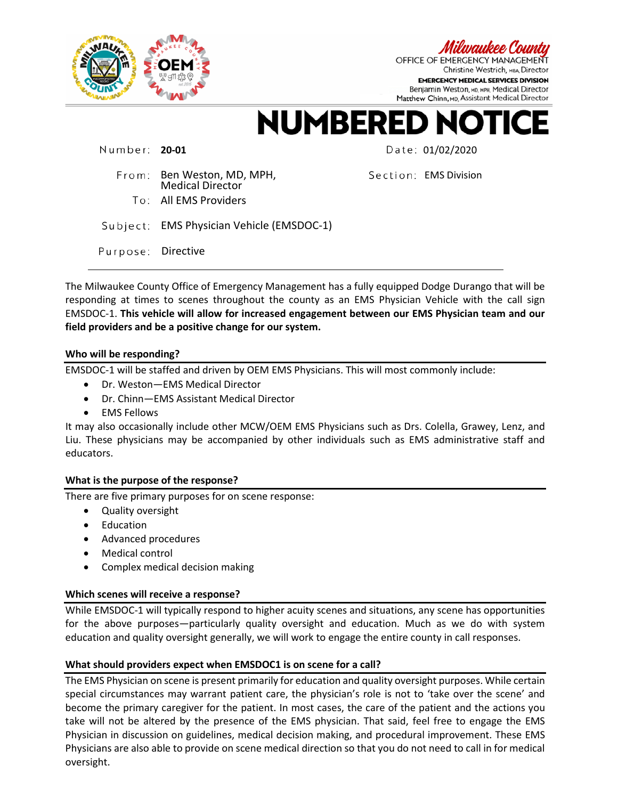

OFFICE OF EMERGENCY MANAGEMEN Christine Westrich, MBA Director **EMERGENCY MEDICAL SERVICES DIVISION** Benjamin Weston, MD, MPH, Medical Director Matthew Chinn, MD, Assistant Medical Director

**NUMBERED N**  $\bullet$ TI CF

Number: 20-01 **Date: 01/02/2020** 

From: Ben Weston, MD, MPH, Medical Director To: All EMS Providers

Section: EMS Division

Subject: EMS Physician Vehicle (EMSDOC-1)

Purpose: Directive

The Milwaukee County Office of Emergency Management has a fully equipped Dodge Durango that will be responding at times to scenes throughout the county as an EMS Physician Vehicle with the call sign EMSDOC-1. **This vehicle will allow for increased engagement between our EMS Physician team and our field providers and be a positive change for our system.**

### **Who will be responding?**

EMSDOC-1 will be staffed and driven by OEM EMS Physicians. This will most commonly include:

- Dr. Weston—EMS Medical Director
- Dr. Chinn—EMS Assistant Medical Director
- EMS Fellows

It may also occasionally include other MCW/OEM EMS Physicians such as Drs. Colella, Grawey, Lenz, and Liu. These physicians may be accompanied by other individuals such as EMS administrative staff and educators.

# **What is the purpose of the response?**

There are five primary purposes for on scene response:

- Quality oversight
- **Education**
- Advanced procedures
- Medical control
- Complex medical decision making

# **Which scenes will receive a response?**

While EMSDOC-1 will typically respond to higher acuity scenes and situations, any scene has opportunities for the above purposes—particularly quality oversight and education. Much as we do with system education and quality oversight generally, we will work to engage the entire county in call responses.

# **What should providers expect when EMSDOC1 is on scene for a call?**

The EMS Physician on scene is present primarily for education and quality oversight purposes. While certain special circumstances may warrant patient care, the physician's role is not to 'take over the scene' and become the primary caregiver for the patient. In most cases, the care of the patient and the actions you take will not be altered by the presence of the EMS physician. That said, feel free to engage the EMS Physician in discussion on guidelines, medical decision making, and procedural improvement. These EMS Physicians are also able to provide on scene medical direction so that you do not need to call in for medical oversight.